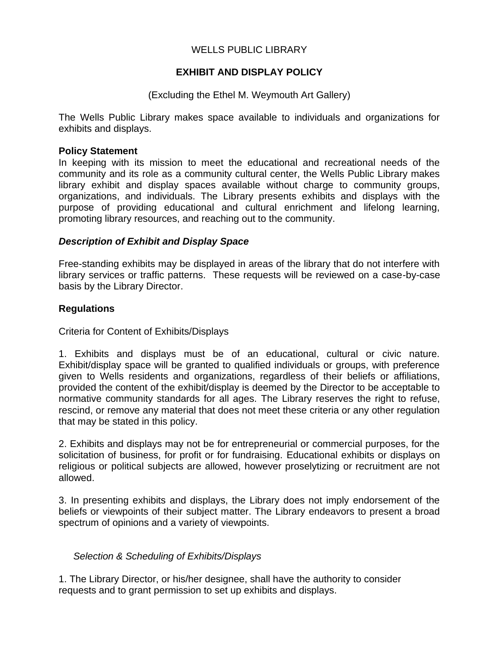## WELLS PUBLIC LIBRARY

## **EXHIBIT AND DISPLAY POLICY**

### (Excluding the Ethel M. Weymouth Art Gallery)

The Wells Public Library makes space available to individuals and organizations for exhibits and displays.

#### **Policy Statement**

In keeping with its mission to meet the educational and recreational needs of the community and its role as a community cultural center, the Wells Public Library makes library exhibit and display spaces available without charge to community groups, organizations, and individuals. The Library presents exhibits and displays with the purpose of providing educational and cultural enrichment and lifelong learning, promoting library resources, and reaching out to the community.

#### *Description of Exhibit and Display Space*

Free-standing exhibits may be displayed in areas of the library that do not interfere with library services or traffic patterns. These requests will be reviewed on a case-by-case basis by the Library Director.

### **Regulations**

Criteria for Content of Exhibits/Displays

1. Exhibits and displays must be of an educational, cultural or civic nature. Exhibit/display space will be granted to qualified individuals or groups, with preference given to Wells residents and organizations, regardless of their beliefs or affiliations, provided the content of the exhibit/display is deemed by the Director to be acceptable to normative community standards for all ages. The Library reserves the right to refuse, rescind, or remove any material that does not meet these criteria or any other regulation that may be stated in this policy.

2. Exhibits and displays may not be for entrepreneurial or commercial purposes, for the solicitation of business, for profit or for fundraising. Educational exhibits or displays on religious or political subjects are allowed, however proselytizing or recruitment are not allowed.

3. In presenting exhibits and displays, the Library does not imply endorsement of the beliefs or viewpoints of their subject matter. The Library endeavors to present a broad spectrum of opinions and a variety of viewpoints.

### *Selection & Scheduling of Exhibits/Displays*

1. The Library Director, or his/her designee, shall have the authority to consider requests and to grant permission to set up exhibits and displays.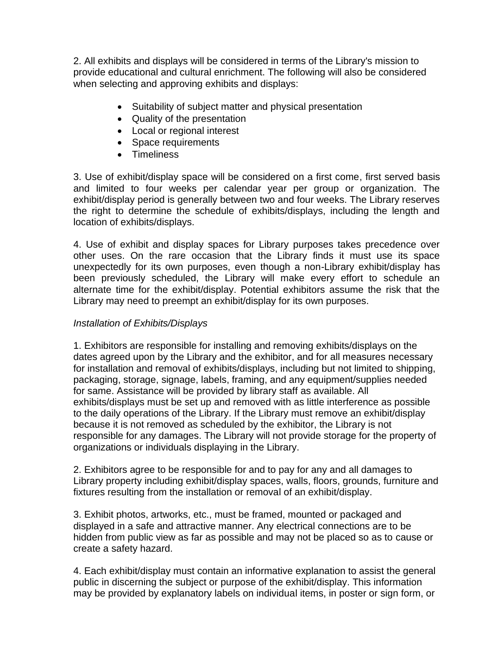2. All exhibits and displays will be considered in terms of the Library's mission to provide educational and cultural enrichment. The following will also be considered when selecting and approving exhibits and displays:

- Suitability of subject matter and physical presentation
- Quality of the presentation
- Local or regional interest
- Space requirements
- Timeliness

3. Use of exhibit/display space will be considered on a first come, first served basis and limited to four weeks per calendar year per group or organization. The exhibit/display period is generally between two and four weeks. The Library reserves the right to determine the schedule of exhibits/displays, including the length and location of exhibits/displays.

4. Use of exhibit and display spaces for Library purposes takes precedence over other uses. On the rare occasion that the Library finds it must use its space unexpectedly for its own purposes, even though a non-Library exhibit/display has been previously scheduled, the Library will make every effort to schedule an alternate time for the exhibit/display. Potential exhibitors assume the risk that the Library may need to preempt an exhibit/display for its own purposes.

# *Installation of Exhibits/Displays*

1. Exhibitors are responsible for installing and removing exhibits/displays on the dates agreed upon by the Library and the exhibitor, and for all measures necessary for installation and removal of exhibits/displays, including but not limited to shipping, packaging, storage, signage, labels, framing, and any equipment/supplies needed for same. Assistance will be provided by library staff as available. All exhibits/displays must be set up and removed with as little interference as possible to the daily operations of the Library. If the Library must remove an exhibit/display because it is not removed as scheduled by the exhibitor, the Library is not responsible for any damages. The Library will not provide storage for the property of organizations or individuals displaying in the Library.

2. Exhibitors agree to be responsible for and to pay for any and all damages to Library property including exhibit/display spaces, walls, floors, grounds, furniture and fixtures resulting from the installation or removal of an exhibit/display.

3. Exhibit photos, artworks, etc., must be framed, mounted or packaged and displayed in a safe and attractive manner. Any electrical connections are to be hidden from public view as far as possible and may not be placed so as to cause or create a safety hazard.

4. Each exhibit/display must contain an informative explanation to assist the general public in discerning the subject or purpose of the exhibit/display. This information may be provided by explanatory labels on individual items, in poster or sign form, or